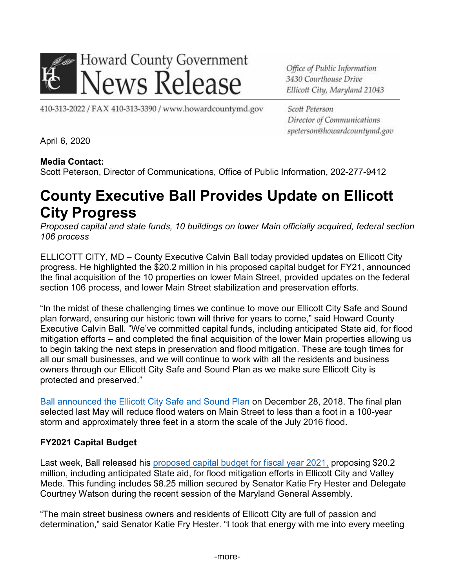

Office of Public Information 3430 Courthouse Drive Ellicott City, Maryland 21043

410-313-2022 / FAX 410-313-3390 / www.howardcountymd.gov

Scott Peterson Director of Communications speterson@howardcountymd.gov

April 6, 2020

#### **Media Contact:**

Scott Peterson, Director of Communications, Office of Public Information, 202-277-9412

# **County Executive Ball Provides Update on Ellicott City Progress**

*Proposed capital and state funds, 10 buildings on lower Main officially acquired, federal section 106 process*

ELLICOTT CITY, MD – County Executive Calvin Ball today provided updates on Ellicott City progress. He highlighted the \$20.2 million in his proposed capital budget for FY21, announced the final acquisition of the 10 properties on lower Main Street, provided updates on the federal section 106 process, and lower Main Street stabilization and preservation efforts.

"In the midst of these challenging times we continue to move our Ellicott City Safe and Sound plan forward, ensuring our historic town will thrive for years to come," said Howard County Executive Calvin Ball. "We've committed capital funds, including anticipated State aid, for flood mitigation efforts – and completed the final acquisition of the lower Main properties allowing us to begin taking the next steps in preservation and flood mitigation. These are tough times for all our small businesses, and we will continue to work with all the residents and business owners through our Ellicott City Safe and Sound Plan as we make sure Ellicott City is protected and preserved."

Ball [announced](https://www.howardcountymd.gov/News/ArticleID/1526/News05139b) the Ellicott City Safe and Sound Plan on December 28, 2018. The final plan selected last May will reduce flood waters on Main Street to less than a foot in a 100-year storm and approximately three feet in a storm the scale of the July 2016 flood.

### **FY2021 Capital Budget**

Last week, Ball released his [proposed capital budget for fiscal year 2021,](https://www.howardcountymd.gov/News/ArticleID/1916/News040120) proposing \$20.2 million, including anticipated State aid, for flood mitigation efforts in Ellicott City and Valley Mede. This funding includes \$8.25 million secured by Senator Katie Fry Hester and Delegate Courtney Watson during the recent session of the Maryland General Assembly.

"The main street business owners and residents of Ellicott City are full of passion and determination," said Senator Katie Fry Hester. "I took that energy with me into every meeting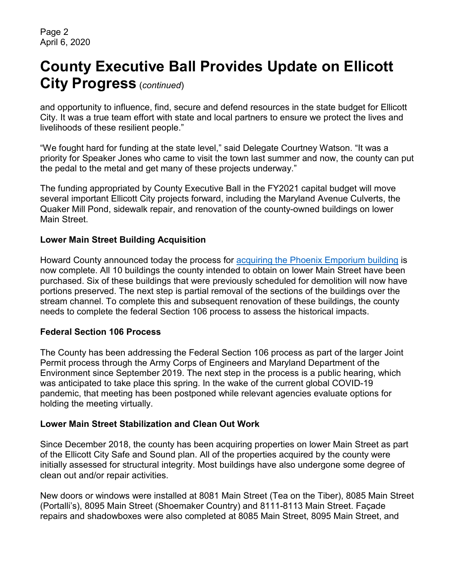# **County Executive Ball Provides Update on Ellicott City Progress** (*continued*)

and opportunity to influence, find, secure and defend resources in the state budget for Ellicott City. It was a true team effort with state and local partners to ensure we protect the lives and livelihoods of these resilient people."

"We fought hard for funding at the state level," said Delegate Courtney Watson. "It was a priority for Speaker Jones who came to visit the town last summer and now, the county can put the pedal to the metal and get many of these projects underway."

The funding appropriated by County Executive Ball in the FY2021 capital budget will move several important Ellicott City projects forward, including the Maryland Avenue Culverts, the Quaker Mill Pond, sidewalk repair, and renovation of the county-owned buildings on lower Main Street.

#### **Lower Main Street Building Acquisition**

Howard County announced today the process for [acquiring the Phoenix Emporium building](https://www.howardcountymd.gov/News/ArticleID/1791/News123019) is now complete. All 10 buildings the county intended to obtain on lower Main Street have been purchased. Six of these buildings that were previously scheduled for demolition will now have portions preserved. The next step is partial removal of the sections of the buildings over the stream channel. To complete this and subsequent renovation of these buildings, the county needs to complete the federal Section 106 process to assess the historical impacts.

#### **Federal Section 106 Process**

The County has been addressing the Federal Section 106 process as part of the larger Joint Permit process through the Army Corps of Engineers and Maryland Department of the Environment since September 2019. The next step in the process is a public hearing, which was anticipated to take place this spring. In the wake of the current global COVID-19 pandemic, that meeting has been postponed while relevant agencies evaluate options for holding the meeting virtually.

#### **Lower Main Street Stabilization and Clean Out Work**

Since December 2018, the county has been acquiring properties on lower Main Street as part of the Ellicott City Safe and Sound plan. All of the properties acquired by the county were initially assessed for structural integrity. Most buildings have also undergone some degree of clean out and/or repair activities.

New doors or windows were installed at 8081 Main Street (Tea on the Tiber), 8085 Main Street (Portalli's), 8095 Main Street (Shoemaker Country) and 8111-8113 Main Street. Façade repairs and shadowboxes were also completed at 8085 Main Street, 8095 Main Street, and